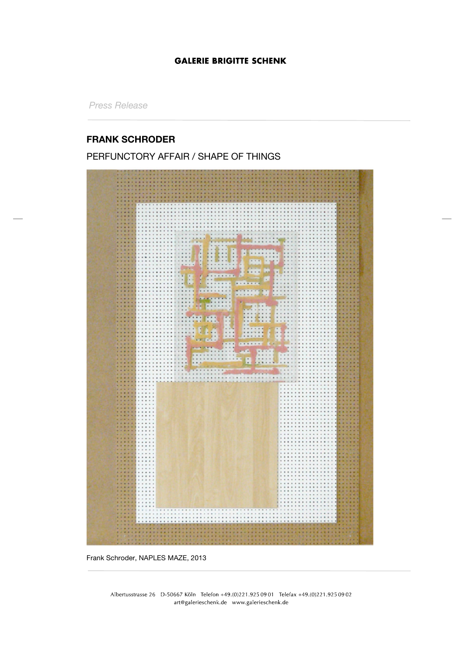### **GALERIE BRIGITTE SCHENK**

*Press Release*

# **FRANK SCHRODER**

# PERFUNCTORY AFFAIR / SHAPE OF THINGS



Frank Schroder, NAPLES MAZE, 2013

Albertusstrasse 26 D-50667 Köln Telefon +49.(0)221.925 09 01 Telefax +49.(0)221.925 09 02 art@galerieschenk.de www.galerieschenk.de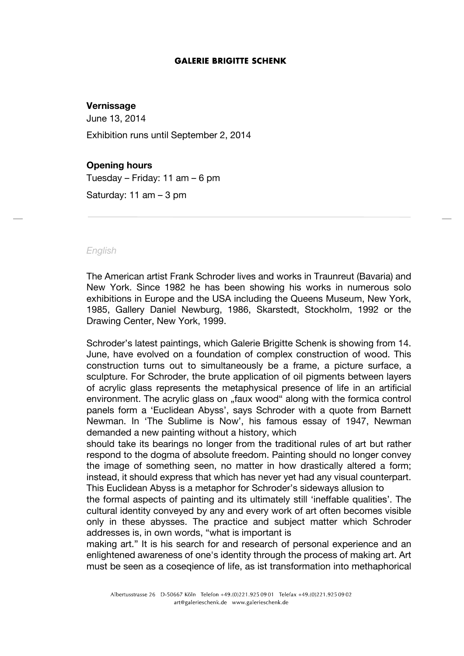#### **GALERIE BRIGITTE SCHENK**

# **Vernissage**

June 13, 2014

Exhibition runs until September 2, 2014

# **Opening hours**

Tuesday – Friday: 11 am – 6 pm

Saturday: 11 am – 3 pm

#### *English*

The American artist Frank Schroder lives and works in Traunreut (Bavaria) and New York. Since 1982 he has been showing his works in numerous solo exhibitions in Europe and the USA including the Queens Museum, New York, 1985, Gallery Daniel Newburg, 1986, Skarstedt, Stockholm, 1992 or the Drawing Center, New York, 1999.

Schroder's latest paintings, which Galerie Brigitte Schenk is showing from 14. June, have evolved on a foundation of complex construction of wood. This construction turns out to simultaneously be a frame, a picture surface, a sculpture. For Schroder, the brute application of oil pigments between layers of acrylic glass represents the metaphysical presence of life in an artificial environment. The acrylic glass on "faux wood" along with the formica control panels form a 'Euclidean Abyss', says Schroder with a quote from Barnett Newman. In 'The Sublime is Now', his famous essay of 1947, Newman demanded a new painting without a history, which

should take its bearings no longer from the traditional rules of art but rather respond to the dogma of absolute freedom. Painting should no longer convey the image of something seen, no matter in how drastically altered a form; instead, it should express that which has never yet had any visual counterpart. This Euclidean Abyss is a metaphor for Schroder's sideways allusion to

the formal aspects of painting and its ultimately still 'ineffable qualities'. The cultural identity conveyed by any and every work of art often becomes visible only in these abysses. The practice and subject matter which Schroder addresses is, in own words, "what is important is

making art." It is his search for and research of personal experience and an enlightened awareness of one's identity through the process of making art. Art must be seen as a coseqience of life, as ist transformation into methaphorical